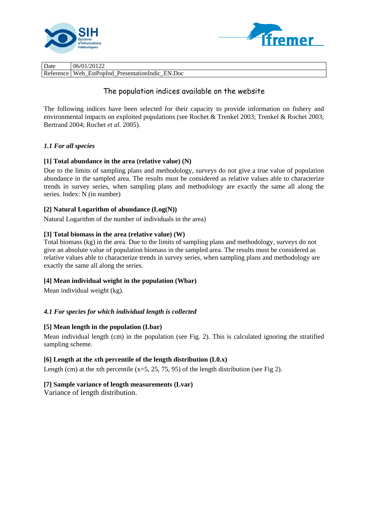



| Date      | 06/01/20122                               |
|-----------|-------------------------------------------|
| Reference | EstPopInd PresentationIndic EN.Doc<br>Web |

# The population indices available on the website

The following indices have been selected for their capacity to provide information on fishery and environmental impacts on exploited populations (see Rochet & Trenkel 2003; Trenkel & Rochet 2003; Bertrand 2004; Rochet *et al.* 2005).

# *1.1 For all species*

# **[1] Total abundance in the area (relative value) (N)**

Due to the limits of sampling plans and methodology, surveys do not give a true value of population abundance in the sampled area. The results must be considered as relative values able to characterize trends in survey series, when sampling plans and methodology are exactly the same all along the series. Index: N (in number)

# **[2] Natural Logarithm of abundance (Log(N))**

Natural Logarithm of the number of individuals in the area)

# **[3] Total biomass in the area (relative value) (W)**

Total biomass (kg) in the area. Due to the limits of sampling plans and methodology, surveys do not give an absolute value of population biomass in the sampled area. The results must be considered as relative values able to characterize trends in survey series, when sampling plans and methodology are exactly the same all along the series.

## **[4] Mean individual weight in the population (Wbar)**

Mean individual weight (kg).

# *4.1 For species for which individual length is collected*

## **[5] Mean length in the population (Lbar)**

Mean individual length (cm) in the population (see Fig. 2). This is calculated ignoring the stratified sampling scheme.

## **[6] Length at the** *x***th percentile of the length distribution (L0.x)**

Length (cm) at the xth percentile  $(x=5, 25, 75, 95)$  of the length distribution (see Fig 2).

## **[7] Sample variance of length measurements (Lvar)**

Variance of length distribution.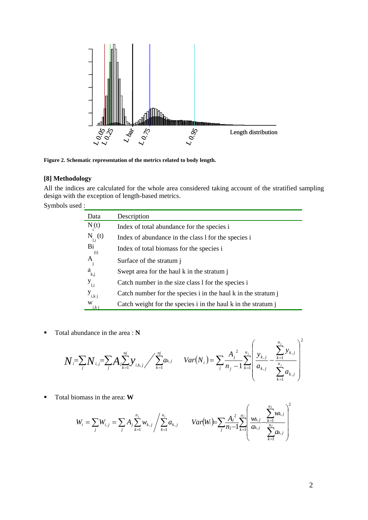

**Figure 2. Schematic representation of the metrics related to body length.** 

## **[8] Methodology**

All the indices are calculated for the whole area considered taking account of the stratified sampling design with the exception of length-based metrics.

Symbols used :

| Data         | Description                                                   |
|--------------|---------------------------------------------------------------|
| $N_{i}(t)$   | Index of total abundance for the species i                    |
| $N_{l,i}(t)$ | Index of abundance in the class 1 for the species i           |
| Bi<br>(t)    | Index of total biomass for the species i                      |
| Α            | Surface of the stratum i                                      |
| $a_{k,j}$    | Swept area for the haul k in the stratum j                    |
| $y_{l,i}$    | Catch number in the size class 1 for the species i            |
| $y_{i,k,j}$  | Catch number for the species i in the haul k in the stratum j |
| W<br>i.k j   | Catch weight for the species i in the haul k in the stratum j |

■ Total abundance in the area : **N** 

$$
N_i = \sum_j N_{i,j} = \sum_j A_j \sum_{k=1}^{nj} y_{i,k,j} / \sum_{k=1}^{nj} a_{k,j} \qquad Var(N_i) = \sum_j \frac{A_j^2}{n_j - 1} \sum_{k=1}^{n_j} \left( \frac{y_{k,j}}{a_{k,j}} - \frac{\sum_{k=1}^{n_j} y_{k,j}}{\sum_{k=1}^{n_j} a_{k,j}} \right)^2
$$

Total biomass in the area: **W**

$$
W_i = \sum_j W_{i,j} = \sum_j A_j \sum_{k=1}^{n_j} w_{k,j} / \sum_{k=1}^{n_j} a_{k,j} \qquad Var(W_i) = \sum_j \frac{A_j^2}{n_j - 1} \sum_{k=1}^{n_j} \left( \frac{w_{k,j}}{a_{k,j}} - \sum_{\substack{k=1 \ k \neq j}}^{n_j} w_{k,j} \right)^2
$$

*n j*